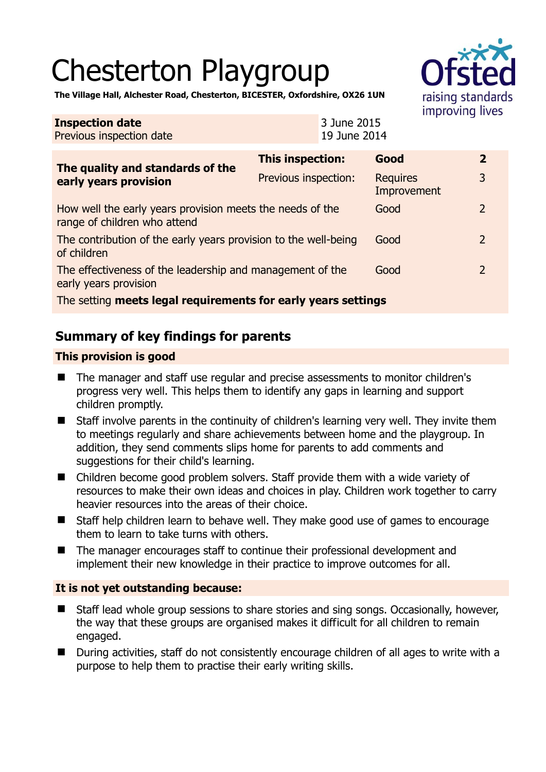# Chesterton Playgroup



**The Village Hall, Alchester Road, Chesterton, BICESTER, Oxfordshire, OX26 1UN** 

| <b>Inspection date</b><br>Previous inspection date                                        |                      | 3 June 2015<br>19 June 2014 |                                |  |                |
|-------------------------------------------------------------------------------------------|----------------------|-----------------------------|--------------------------------|--|----------------|
| The quality and standards of the<br>early years provision                                 | This inspection:     |                             | Good                           |  | $\mathbf{2}$   |
|                                                                                           | Previous inspection: |                             | <b>Requires</b><br>Improvement |  | 3              |
| How well the early years provision meets the needs of the<br>range of children who attend |                      |                             | Good                           |  | $\overline{2}$ |
| The contribution of the early years provision to the well-being<br>of children            |                      |                             | Good                           |  | $\overline{2}$ |
| The effectiveness of the leadership and management of the<br>early years provision        |                      |                             | Good                           |  | 2              |
| The setting meets legal requirements for early years settings                             |                      |                             |                                |  |                |

# **Summary of key findings for parents**

## **This provision is good**

- The manager and staff use regular and precise assessments to monitor children's progress very well. This helps them to identify any gaps in learning and support children promptly.
- Staff involve parents in the continuity of children's learning very well. They invite them to meetings regularly and share achievements between home and the playgroup. In addition, they send comments slips home for parents to add comments and suggestions for their child's learning.
- Children become good problem solvers. Staff provide them with a wide variety of resources to make their own ideas and choices in play. Children work together to carry heavier resources into the areas of their choice.
- Staff help children learn to behave well. They make good use of games to encourage them to learn to take turns with others.
- The manager encourages staff to continue their professional development and implement their new knowledge in their practice to improve outcomes for all.

## **It is not yet outstanding because:**

- Staff lead whole group sessions to share stories and sing songs. Occasionally, however, the way that these groups are organised makes it difficult for all children to remain engaged.
- During activities, staff do not consistently encourage children of all ages to write with a purpose to help them to practise their early writing skills.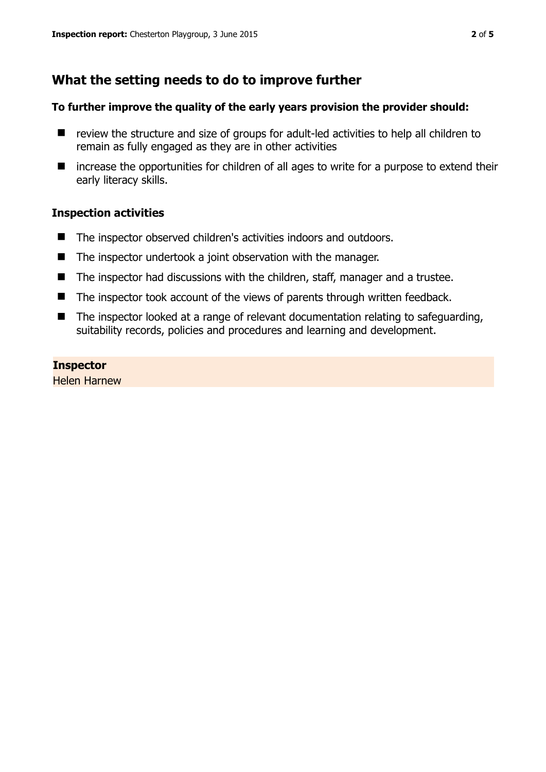## **What the setting needs to do to improve further**

#### **To further improve the quality of the early years provision the provider should:**

- review the structure and size of groups for adult-led activities to help all children to remain as fully engaged as they are in other activities
- increase the opportunities for children of all ages to write for a purpose to extend their early literacy skills.

#### **Inspection activities**

- The inspector observed children's activities indoors and outdoors.
- The inspector undertook a joint observation with the manager.
- The inspector had discussions with the children, staff, manager and a trustee.
- The inspector took account of the views of parents through written feedback.
- The inspector looked at a range of relevant documentation relating to safeguarding, suitability records, policies and procedures and learning and development.

#### **Inspector**

Helen Harnew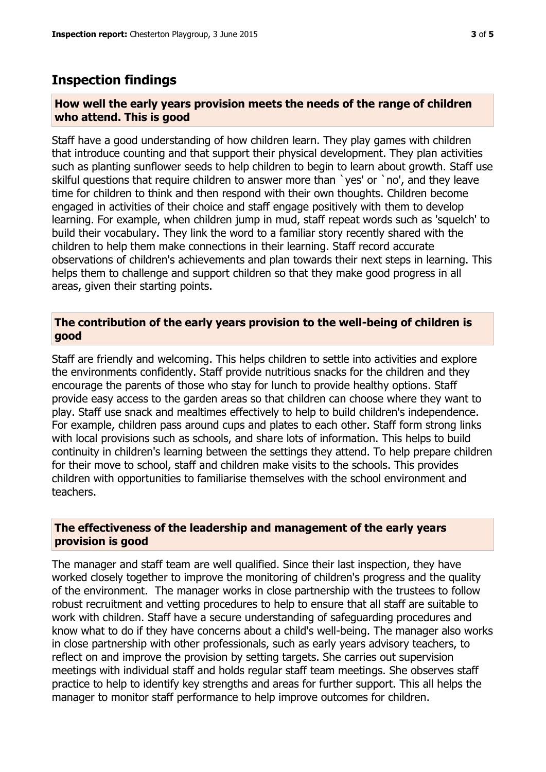## **Inspection findings**

#### **How well the early years provision meets the needs of the range of children who attend. This is good**

Staff have a good understanding of how children learn. They play games with children that introduce counting and that support their physical development. They plan activities such as planting sunflower seeds to help children to begin to learn about growth. Staff use skilful questions that require children to answer more than `yes' or `no', and they leave time for children to think and then respond with their own thoughts. Children become engaged in activities of their choice and staff engage positively with them to develop learning. For example, when children jump in mud, staff repeat words such as 'squelch' to build their vocabulary. They link the word to a familiar story recently shared with the children to help them make connections in their learning. Staff record accurate observations of children's achievements and plan towards their next steps in learning. This helps them to challenge and support children so that they make good progress in all areas, given their starting points.

#### **The contribution of the early years provision to the well-being of children is good**

Staff are friendly and welcoming. This helps children to settle into activities and explore the environments confidently. Staff provide nutritious snacks for the children and they encourage the parents of those who stay for lunch to provide healthy options. Staff provide easy access to the garden areas so that children can choose where they want to play. Staff use snack and mealtimes effectively to help to build children's independence. For example, children pass around cups and plates to each other. Staff form strong links with local provisions such as schools, and share lots of information. This helps to build continuity in children's learning between the settings they attend. To help prepare children for their move to school, staff and children make visits to the schools. This provides children with opportunities to familiarise themselves with the school environment and teachers.

#### **The effectiveness of the leadership and management of the early years provision is good**

The manager and staff team are well qualified. Since their last inspection, they have worked closely together to improve the monitoring of children's progress and the quality of the environment. The manager works in close partnership with the trustees to follow robust recruitment and vetting procedures to help to ensure that all staff are suitable to work with children. Staff have a secure understanding of safeguarding procedures and know what to do if they have concerns about a child's well-being. The manager also works in close partnership with other professionals, such as early years advisory teachers, to reflect on and improve the provision by setting targets. She carries out supervision meetings with individual staff and holds regular staff team meetings. She observes staff practice to help to identify key strengths and areas for further support. This all helps the manager to monitor staff performance to help improve outcomes for children.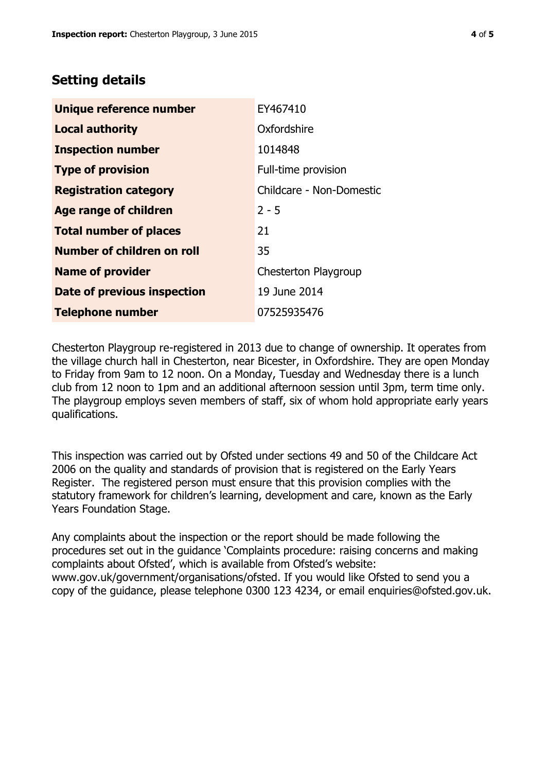# **Setting details**

| Unique reference number            | EY467410                 |  |  |
|------------------------------------|--------------------------|--|--|
| <b>Local authority</b>             | Oxfordshire              |  |  |
| <b>Inspection number</b>           | 1014848                  |  |  |
| <b>Type of provision</b>           | Full-time provision      |  |  |
| <b>Registration category</b>       | Childcare - Non-Domestic |  |  |
| <b>Age range of children</b>       | $2 - 5$                  |  |  |
| <b>Total number of places</b>      | 21                       |  |  |
| Number of children on roll         | 35                       |  |  |
| <b>Name of provider</b>            | Chesterton Playgroup     |  |  |
| <b>Date of previous inspection</b> | 19 June 2014             |  |  |
| <b>Telephone number</b>            | 07525935476              |  |  |

Chesterton Playgroup re-registered in 2013 due to change of ownership. It operates from the village church hall in Chesterton, near Bicester, in Oxfordshire. They are open Monday to Friday from 9am to 12 noon. On a Monday, Tuesday and Wednesday there is a lunch club from 12 noon to 1pm and an additional afternoon session until 3pm, term time only. The playgroup employs seven members of staff, six of whom hold appropriate early years qualifications.

This inspection was carried out by Ofsted under sections 49 and 50 of the Childcare Act 2006 on the quality and standards of provision that is registered on the Early Years Register. The registered person must ensure that this provision complies with the statutory framework for children's learning, development and care, known as the Early Years Foundation Stage.

Any complaints about the inspection or the report should be made following the procedures set out in the guidance 'Complaints procedure: raising concerns and making complaints about Ofsted', which is available from Ofsted's website: www.gov.uk/government/organisations/ofsted. If you would like Ofsted to send you a copy of the guidance, please telephone 0300 123 4234, or email enquiries@ofsted.gov.uk.